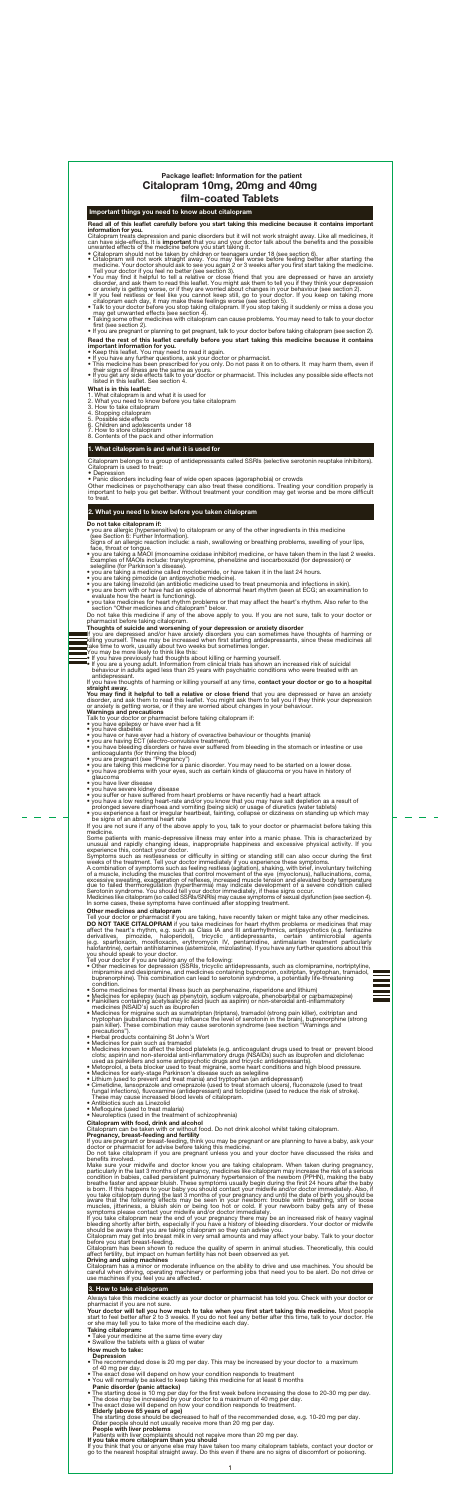## Important things you need to know about citalopram

Citalopram treats depression and panic disorders but it will not work straight away. Like all medicines, it can have side-effects. It is **important** that you and your doctor talk about the benefits and the possible<br>unwanted effects of the medicine before you start taking it.

Read all of this leaflet carefully before you start taking this medicine because it contains important information for you.

- 
- Citalopram should not be taken by children or teenagers under 18 (see section 6).<br>• Citalopram will not work straight away. You may feel worse before feeling better after starting the medicine. Your doctor should ask to
- 
- 
- 
- Taking some other medicines with citalopram can cause problems. You may need to talk to your doctor first (see section 2). • If you are pregnant or planning to get pregnant, talk to your doctor before taking citalopram (see section 2).

- important information for you. Keep this leaflet. You may need to read it again.
- 
- If you have any further questions, ask your doctor or pharmacist.<br>• This medicine has been prescribed for you only. Do not pass it on to others. It may harm them, even if<br>their signs of illness are the same as yours.<br>• I
- 

Citalopram belongs to a group of antidepressants called SSRIs (selective serotonin reuptake inhibitors). Citalopram is used to treat: • Depression

- you are allergic (hypersensitive) to citalopram or any of the other ingredients in this medicine (see Section 6: Further Information).
- 
- Signs of an allergic reaction include: a rash, swallowing or breathing problems, swelling of your lips,<br>face, throat or tongue.<br>• you are taking a MAOI (monoamine oxidase inhibitor) medicine, or have taken them in the last
- 
- 
- selegiline (for Parkinson's disease).<br>• you are taking a medicine called moclobemide, or have taken it in the last 24 hours.<br>• you are taking pimozide (an antibiotic medicine).<br>• you are taking linezolid (an antibiotic med
- evaluate how the heart is functioning). you take medicines for heart rhythm problems or that may affect the heart's rhythm. Also refer to the
- section "Other medicines and citalopram" below. Do not take this medicine if any of the above apply to you. If you are not sure, talk to your doctor or pharmacist before taking citalopram.

Th**oughts of suicide and worsening of your depression or anxiety disorder**<br>If you are depressed and/or have anxiety disorders you can sometimes have thoughts of harming or<br>killing yourself. These may be increased when firs

- You may be more likely to think like this:
- 

Read the rest of this leaflet carefully before you start taking this medicine because it contains

## What is in this leaflet:

- 1. What citalopram is and what it is used for 2. What you need to know before you take citalopram 3. How to take citalopram
- 
- 
- 4. Stopping citalopram 5. Possible side effects
- 
- 6. Children and adolescents under 18 7. How to store citalopram
- 8. Contents of the pack and other information

If you have thoughts of harming or killing yourself at any time, contact your doctor or go to a hospital straight away.

**You may find it helpful to tell a relative or close friend** that you are depressed or have an anxiety<br>disorder, and ask them to read this leaflet. You might ask them to tell you if they think your depression<br>or anxiety is

## 1. What citalopram is and what it is used for

• Panic disorders including fear of wide open spaces (agoraphobia) or crowds

Other medicines or psychotherapy can also treat these conditions. Treating your condition properly is important to help you get better. Without treatment your condition may get worse and be more difficult to treat.

### 2. What you need to know before you taken citalopram

### Do not take citalopram if:

- 
- 
- you have or have ever had a history of overactive behaviour or thoughts (mania)<br>• you are having ECT (electro-convulsive treatment).<br>• you have bleeding disorders or have ever suffered from bleeding in the stomach or int
- 
- glaucoma
- you have liver disease
- you have severe kidney disease
- you suffer or have suffered from heart problems or have recently had a heart attack
- ou have a low resting heart-rate and/or you know that you may have salt depletion as a result of prolonged severe diarrhoea and vomiting (being sick) or usage of diuretics (water tablets)<br>• you experience a fast or irregul
- be signs of an abnormal heart rate

Tell your doctor or pharmacist if you are taking, have recently taken or might take any other medicines. **DO NOT TAKE CITALOPRAM** if you take medicines for heart rhythm problems or medicines that may affect the heart's rhythm, e.g. such as Class IA and III antiarrhythmics, antipsychotics (e.g. fentiazine derivatives, pimozide

• If you have previously had thoughts about killing or harming yourself. • If you are a young adult. Information from clinical trials has shown an increased risk of suicidal behaviour in adults aged less than 25 years with psychiatric conditions who were treated with an antidepressant.

- 
- you should speak to your doctor.<br>Tell your doctor if you are taking any of the following:<br>• Other medicines for depression (SSRIs, tricyclic antidepressants, such as clomipramine, nortriptyline,<br>• impramine and desipramine
- 
- 
- condition.<br>
 Nedicines for mental illness (such as perphenazine, risperidone and lithium)<br>
 Medicines for epilepsy (such as phenytoin, sodium valproate, phenobarbital or carbamazepine)<br>
 Painkillers containing acetylsal
- precautions"). Herbal products containing St John's Wort Medicines for pain such as tramadol
- 
- Medicines known to affect the blood platelets (e.g. anticoagulant drugs used to treat or prevent blood<br>clots; aspirin and non-steroidal anti-inflammatory drugs (NSAIDs) such as ibuprofen and diclofenac<br>used as painkiller
- Medicines for early-stage Parkinson's disease such as selegiline
- 
- Lithium (used to prevent and treat mania) and tryptophan (an antidepressant) Cimetidine, lansoprazole and omeprazole (used to treat stomach ulcers), fluconazole (used to treat fungal infections), fluvoxamine (antidepressant) and ticlopidine (used to reduce the risk of stroke). These may cause increased blood levels of citalopram. • Antibiotics such as Linezolid • Mefloquine (used to treat malaria)
- 
- Neuroleptics (used in the treatment of schizophrenia)
- 

Talk to your doctor or pharmacist before taking citalopram if: • you have epilepsy or have ever had a fit • you have diabetes

If you are not sure if any of the above apply to you, talk to your doctor or pharmacist before taking this medicine.

Some patients with manic-depressive illness may enter into a manic phase. This is characterized by unusual and rapidly changing ideas, inappropriate happiness and excessive physical activity. If you experience this, contac

of a muscle, including the muscles that control movement of the eye (myoclonus), hallucinations, coma, excessive sweating, exaggeration of reflexes, increased muscle tension and elevated body temperature due to failed ther

- Taking citalopram:
- Take your medicine at the same time every day Swallow the tablets with a glass of water
- 
- How much to take:
- Depression • The recommended dose is 20 mg per day. This may be increased by your doctor to a maximum
- of 40 mg per day.<br>• The exact dose will depend on how your condition responds to treatment<br>• You will normally be asked to keep taking this medicine for at least 6 months
- 

- **Panic disorder (panic attacks)**<br>• The starting dose is 10 mg per day for the first week before increasing the dose to 20-30 mg per day. The dose may be increased by your doctor to a maximum of 40 mg per day.<br>• The exact dose will depend on how your condition responds to treatment.
- 

**Elderly (above 65 years of age)**<br>The starting dose should be decreased to half of the recommended dose, e.g. 10-20 mg per day.<br>Older people should not usually receive more than 20 mg per day.

**People with liver problems**<br>Patients with liver complaints should not receive more than 20 mg per day.

If you take more citalopram than you should<br>If you think that you or anyone else may have taken too many citalopram tablets, contact your doctor or go to the nearest hospital straight away. Do this even if there are no signs of discomfort or poisoning.

 $\mathbf{1}$ 

## Other medicines and citalopram

# Citalopram 10mg, 20mg and 40mg film-coated Tablets Package leaflet: Information for the patient

Citalopram with food, drink and alcohol Citalopram can be taken with or without food. Do not drink alcohol whilst taking citalopram.

**Pregnancy, breast-feeding and fertility**<br>If you are pregnant or breast-feeding, think you may be pregnant or are planning to have a baby, ask your<br>doctor or pharmacist for advise before taking this medicine.<br>Do not take c

benefits involved.<br>
Make sure your midwife and doctor know you are taking citalopram. When taken during pregnancy,<br>
Make sure your midwife and doctor know you are taking citalopram may increase the risk of a serious<br>
condi

affect fertility, but impact on human fertility has not been observed as yet.<br>**Driving and using machines** 

Citalopram has a minor or moderate influence on the ability to drive and use machines. You should be<br>careful when driving, operating machinery or performing jobs that need you to be alert. Do not drive or<br>use machines if y

## 3. How to take citalopram

Always take this medicine exactly as your doctor or pharmacist has told you. Check with your doctor or pharmacist if you are not sure.

Your doctor will tell you how much to take when you first start taking this medicine. Most people<br>start to feel better after 2 to 3 weeks. If you do not feel any better after this time, talk to your doctor. He<br>or she may t